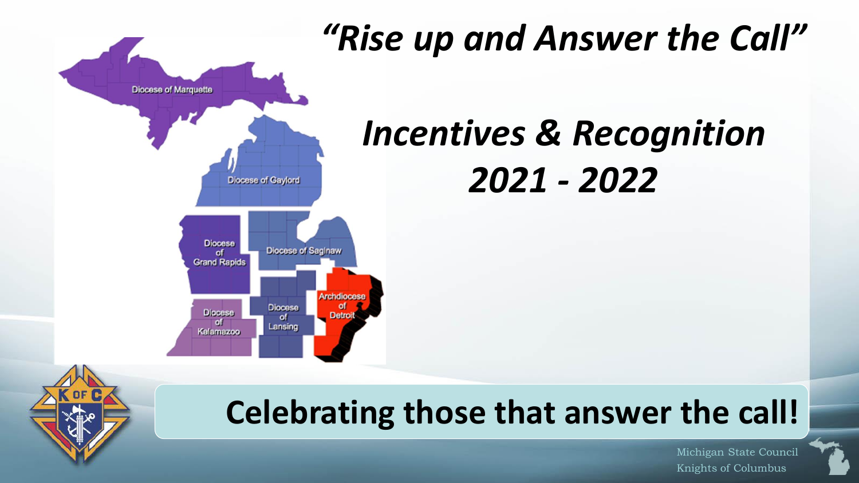

# *"Rise up and Answer the Call"*

# *Incentives & Recognition 2021 - 2022*

## **Celebrating those that answer the call!**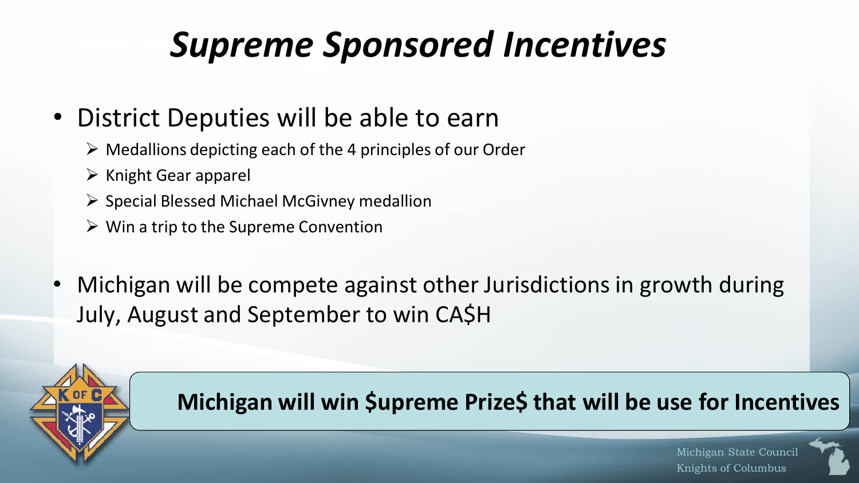## *Supreme Sponsored Incentives*

## • District Deputies will be able to earn

- $\triangleright$  Medallions depicting each of the 4 principles of our Order
- $\triangleright$  Knight Gear apparel
- ➢ Special Blessed Michael McGivney medallion
- $\triangleright$  Win a trip to the Supreme Convention
- Michigan will be compete against other Jurisdictions in growth during July, August and September to win CA\$H



#### **Michigan will win \$upreme Prize\$ that will be use for Incentives**

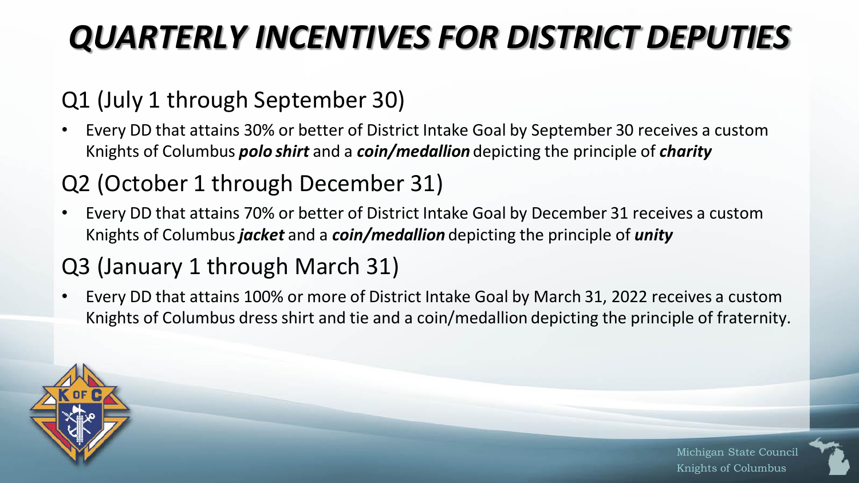## *QUARTERLY INCENTIVES FOR DISTRICT DEPUTIES*

### Q1 (July 1 through September 30)

• Every DD that attains 30% or better of District Intake Goal by September 30 receives a custom Knights of Columbus *polo shirt* and a *coin/medallion* depicting the principle of *charity*

### Q2 (October 1 through December 31)

• Every DD that attains 70% or better of District Intake Goal by December 31 receives a custom Knights of Columbus *jacket* and a *coin/medallion* depicting the principle of *unity*

### Q3 (January 1 through March 31)

• Every DD that attains 100% or more of District Intake Goal by March 31, 2022 receives a custom Knights of Columbus dress shirt and tie and a coin/medallion depicting the principle of fraternity.

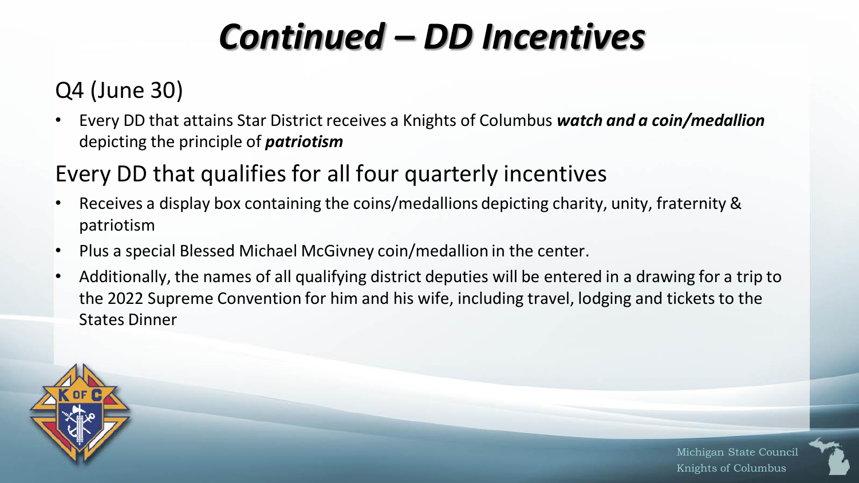# *Continued – DD Incentives*

### Q4 (June 30)

• Every DD that attains Star District receives a Knights of Columbus *watch and a coin/medallion*  depicting the principle of *patriotism*

#### Every DD that qualifies for all four quarterly incentives

- Receives a display box containing the coins/medallions depicting charity, unity, fraternity & patriotism
- Plus a special Blessed Michael McGivney coin/medallion in the center.
- Additionally, the names of all qualifying district deputies will be entered in a drawing for a trip to the 2022 Supreme Convention for him and his wife, including travel, lodging and tickets to the States Dinner

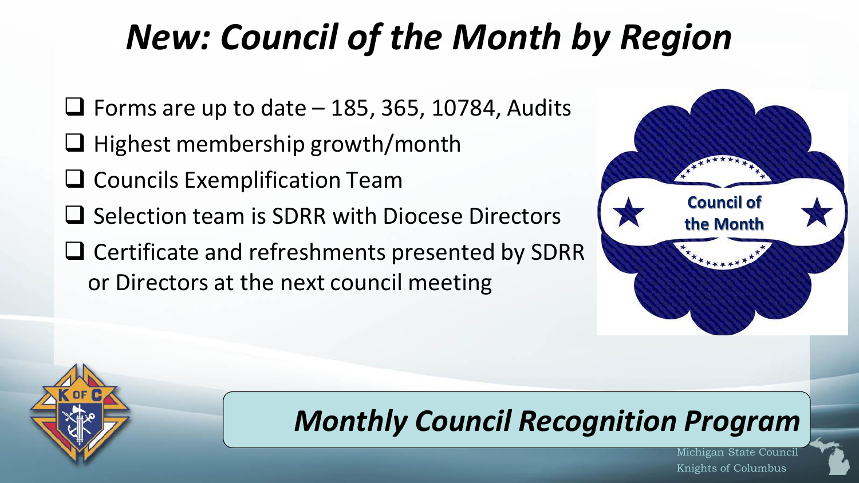# *New: Council of the Month by Region*

- $\Box$  Forms are up to date 185, 365, 10784, Audits
- ❑ Highest membership growth/month
- ❑ Councils Exemplification Team
- ❑ Selection team is SDRR with Diocese Directors
- ❑ Certificate and refreshments presented by SDRR or Directors at the next council meeting



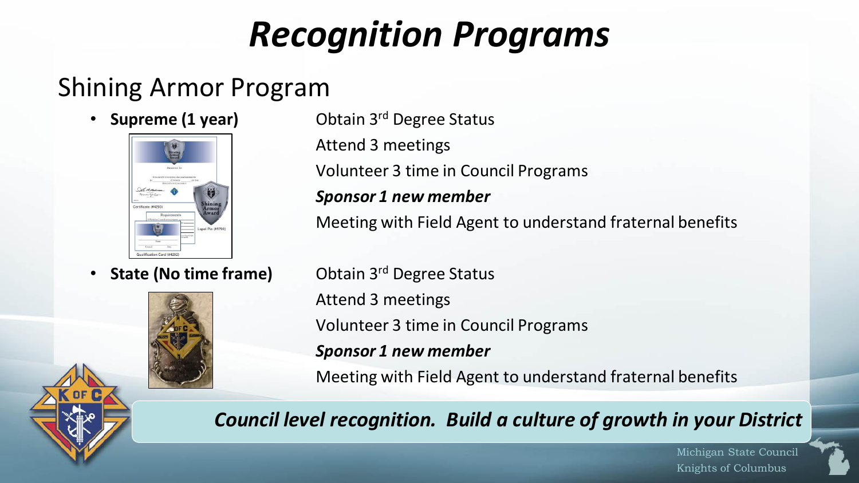## *Recognition Programs*

## Shining Armor Program





• **Supreme (1 year)** Obtain 3<sup>rd</sup> Degree Status Attend 3 meetings Volunteer 3 time in Council Programs

#### *Sponsor 1 new member*

Meeting with Field Agent to understand fraternal benefits

**State (No time frame)** Obtain 3<sup>rd</sup> Degree Status Attend 3 meetings Volunteer 3 time in Council Programs *Sponsor 1 new member* Meeting with Field Agent to understand fraternal benefits

*Council level recognition. Build a culture of growth in your District*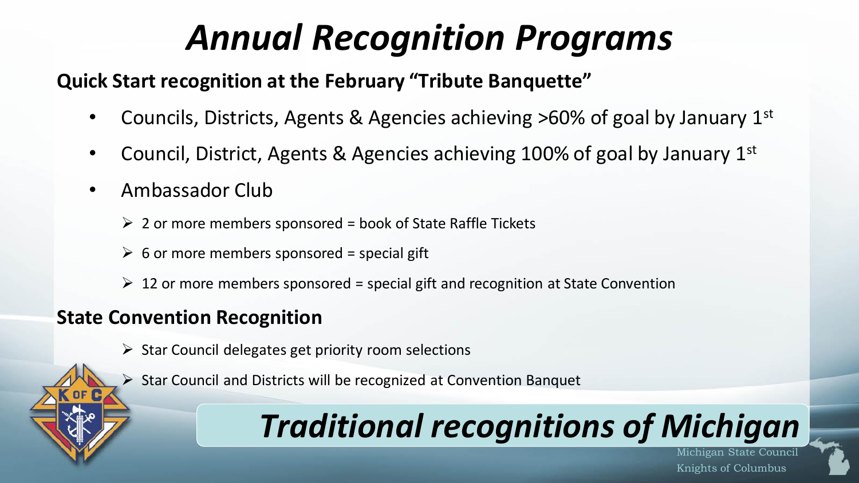# *Annual Recognition Programs*

#### **Quick Start recognition at the February "Tribute Banquette"**

- Councils, Districts, Agents & Agencies achieving >60% of goal by January 1<sup>st</sup>
- Council, District, Agents & Agencies achieving 100% of goal by January  $1<sup>st</sup>$
- Ambassador Club
	- $\geq 2$  or more members sponsored = book of State Raffle Tickets
	- $\triangleright$  6 or more members sponsored = special gift
	- $\geq 12$  or more members sponsored = special gift and recognition at State Convention

#### **State Convention Recognition**

- $\triangleright$  Star Council delegates get priority room selections
- ➢ Star Council and Districts will be recognized at Convention Banquet

## *Traditional recognitions of Michigan*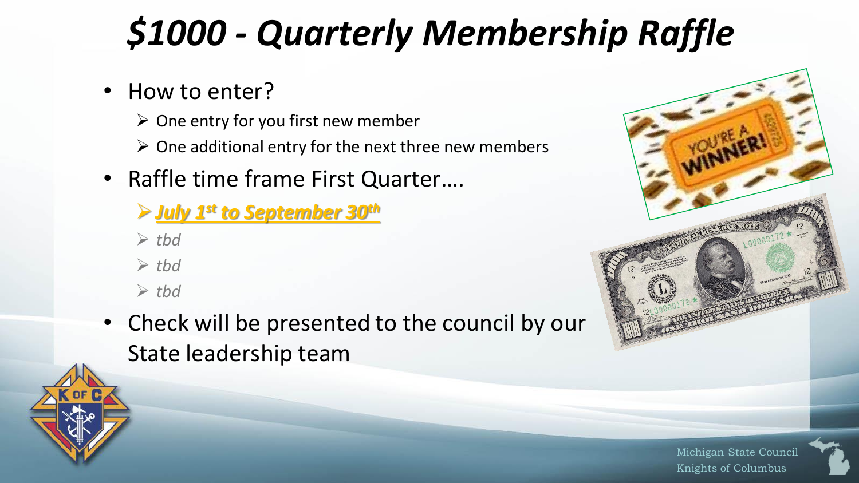# *\$1000 - Quarterly Membership Raffle*

- How to enter?
	- $\triangleright$  One entry for you first new member
	- $\triangleright$  One additional entry for the next three new members
- Raffle time frame First Quarter….
	- ➢*July 1st to September 30th*
	- ➢ *tbd*
	- ➢ *tbd*
	- ➢ *tbd*
- Check will be presented to the council by our State leadership team



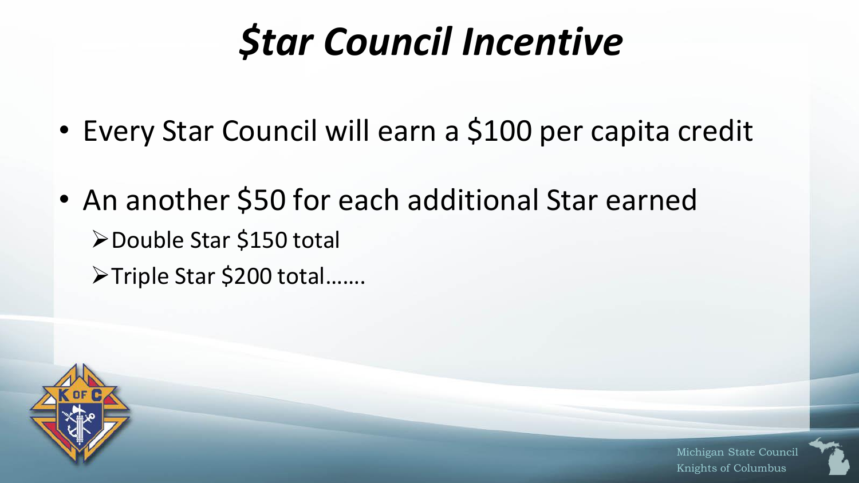# *\$tar Council Incentive*

- Every Star Council will earn a \$100 per capita credit
- An another \$50 for each additional Star earned ➢Double Star \$150 total ➢Triple Star \$200 total…….